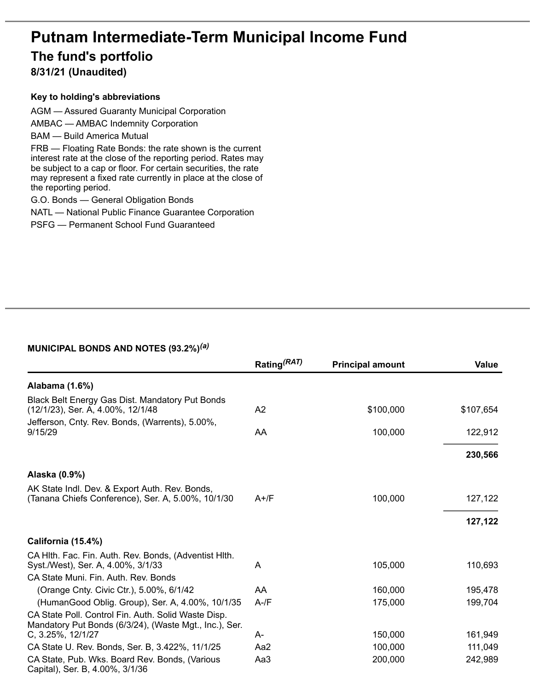# **Putnam Intermediate-Term Municipal Income Fund The fund's portfolio**

## **8/31/21 (Unaudited)**

#### **Key to holding's abbreviations**

AGM — Assured Guaranty Municipal Corporation AMBAC — AMBAC Indemnity Corporation BAM — Build America Mutual FRB — Floating Rate Bonds: the rate shown is the current interest rate at the close of the reporting period. Rates may be subject to a cap or floor. For certain securities, the rate may represent a fixed rate currently in place at the close of the reporting period. G.O. Bonds — General Obligation Bonds

NATL — National Public Finance Guarantee Corporation

PSFG — Permanent School Fund Guaranteed

#### **MUNICIPAL BONDS AND NOTES (93.2%)** *(a)*

|                                                                                                                                     | Rating <sup>(RAT)</sup> | <b>Principal amount</b> | Value     |
|-------------------------------------------------------------------------------------------------------------------------------------|-------------------------|-------------------------|-----------|
| Alabama (1.6%)                                                                                                                      |                         |                         |           |
| Black Belt Energy Gas Dist. Mandatory Put Bonds<br>(12/1/23), Ser. A, 4.00%, 12/1/48                                                | A <sub>2</sub>          | \$100,000               | \$107,654 |
| Jefferson, Cnty. Rev. Bonds, (Warrents), 5.00%,<br>9/15/29                                                                          | AA                      | 100,000                 | 122,912   |
|                                                                                                                                     |                         |                         | 230,566   |
| Alaska (0.9%)                                                                                                                       |                         |                         |           |
| AK State Indl. Dev. & Export Auth. Rev. Bonds,<br>(Tanana Chiefs Conference), Ser. A, 5.00%, 10/1/30                                | $A+$ /F                 | 100,000                 | 127,122   |
|                                                                                                                                     |                         |                         | 127,122   |
| California (15.4%)                                                                                                                  |                         |                         |           |
| CA Hlth. Fac. Fin. Auth. Rev. Bonds, (Adventist Hlth.<br>Syst./West), Ser. A, 4.00%, 3/1/33<br>CA State Muni. Fin. Auth. Rev. Bonds | A                       | 105,000                 | 110,693   |
| (Orange Cnty. Civic Ctr.), 5.00%, 6/1/42                                                                                            | AA                      | 160,000                 | 195,478   |
| (HumanGood Oblig. Group), Ser. A, 4.00%, 10/1/35                                                                                    | $A-fF$                  | 175,000                 | 199,704   |
| CA State Poll. Control Fin. Auth. Solid Waste Disp.<br>Mandatory Put Bonds (6/3/24), (Waste Mgt., Inc.), Ser.<br>C, 3.25%, 12/1/27  | A-                      | 150,000                 | 161,949   |
| CA State U. Rev. Bonds, Ser. B, 3.422%, 11/1/25                                                                                     | Aa2                     | 100,000                 | 111,049   |
| CA State, Pub. Wks. Board Rev. Bonds, (Various<br>Capital), Ser. B, 4.00%, 3/1/36                                                   | Aa3                     | 200,000                 | 242,989   |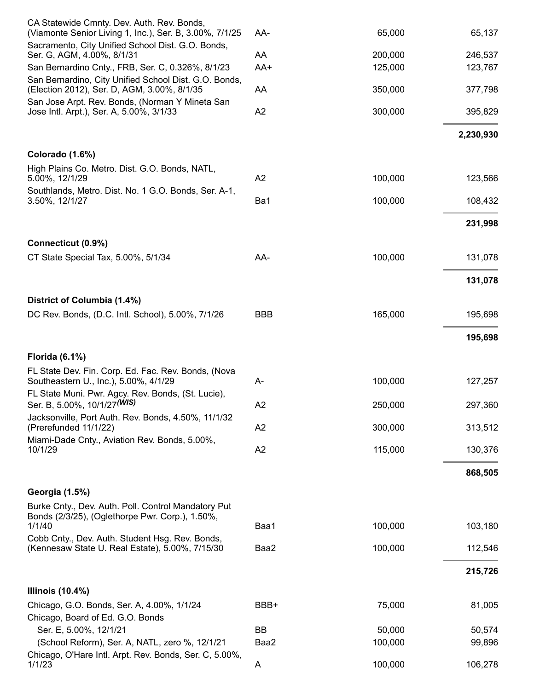| CA Statewide Cmnty. Dev. Auth. Rev. Bonds,<br>(Viamonte Senior Living 1, Inc.), Ser. B, 3.00%, 7/1/25            | AA-        | 65,000  | 65,137    |
|------------------------------------------------------------------------------------------------------------------|------------|---------|-----------|
| Sacramento, City Unified School Dist. G.O. Bonds,<br>Ser. G, AGM, 4.00%, 8/1/31                                  | AA         | 200,000 | 246,537   |
| San Bernardino Cnty., FRB, Ser. C, 0.326%, 8/1/23                                                                | AA+        | 125,000 | 123,767   |
| San Bernardino, City Unified School Dist. G.O. Bonds,<br>(Election 2012), Ser. D, AGM, 3.00%, 8/1/35             | AA         | 350,000 | 377,798   |
| San Jose Arpt. Rev. Bonds, (Norman Y Mineta San<br>Jose Intl. Arpt.), Ser. A, 5.00%, 3/1/33                      | A2         | 300,000 | 395,829   |
|                                                                                                                  |            |         | 2,230,930 |
| Colorado (1.6%)                                                                                                  |            |         |           |
| High Plains Co. Metro. Dist. G.O. Bonds, NATL,<br>5.00%, 12/1/29                                                 | A2         | 100,000 | 123,566   |
| Southlands, Metro. Dist. No. 1 G.O. Bonds, Ser. A-1,<br>3.50%, 12/1/27                                           | Ba1        | 100,000 | 108,432   |
|                                                                                                                  |            |         | 231,998   |
| Connecticut (0.9%)                                                                                               |            |         |           |
| CT State Special Tax, 5.00%, 5/1/34                                                                              | AA-        | 100,000 | 131,078   |
|                                                                                                                  |            |         | 131,078   |
| District of Columbia (1.4%)                                                                                      |            |         |           |
| DC Rev. Bonds, (D.C. Intl. School), 5.00%, 7/1/26                                                                | <b>BBB</b> | 165,000 | 195,698   |
|                                                                                                                  |            |         | 195,698   |
| <b>Florida (6.1%)</b>                                                                                            |            |         |           |
| FL State Dev. Fin. Corp. Ed. Fac. Rev. Bonds, (Nova<br>Southeastern U., Inc.), 5.00%, 4/1/29                     | A-         | 100,000 | 127,257   |
| FL State Muni. Pwr. Agcy. Rev. Bonds, (St. Lucie),<br>Ser. B, 5.00%, 10/1/27 (WIS)                               | A2         | 250,000 | 297,360   |
| Jacksonville, Port Auth. Rev. Bonds, 4.50%, 11/1/32<br>(Prerefunded 11/1/22)                                     | A2         | 300,000 | 313,512   |
| Miami-Dade Cnty., Aviation Rev. Bonds, 5.00%,<br>10/1/29                                                         | A2         | 115,000 | 130,376   |
|                                                                                                                  |            |         |           |
|                                                                                                                  |            |         | 868,505   |
| Georgia (1.5%)                                                                                                   |            |         |           |
| Burke Cnty., Dev. Auth. Poll. Control Mandatory Put<br>Bonds (2/3/25), (Oglethorpe Pwr. Corp.), 1.50%,<br>1/1/40 | Baa1       | 100,000 | 103,180   |
| Cobb Cnty., Dev. Auth. Student Hsg. Rev. Bonds,<br>(Kennesaw State U. Real Estate), 5.00%, 7/15/30               | Baa2       | 100,000 | 112,546   |
|                                                                                                                  |            |         |           |
|                                                                                                                  |            |         | 215,726   |
| <b>Illinois (10.4%)</b><br>Chicago, G.O. Bonds, Ser. A, 4.00%, 1/1/24                                            | BBB+       | 75,000  | 81,005    |
| Chicago, Board of Ed. G.O. Bonds                                                                                 |            |         |           |
| Ser. E, 5.00%, 12/1/21                                                                                           | BB         | 50,000  | 50,574    |
| (School Reform), Ser. A, NATL, zero %, 12/1/21                                                                   | Baa2       | 100,000 | 99,896    |
| Chicago, O'Hare Intl. Arpt. Rev. Bonds, Ser. C, 5.00%,<br>1/1/23                                                 | A          | 100,000 | 106,278   |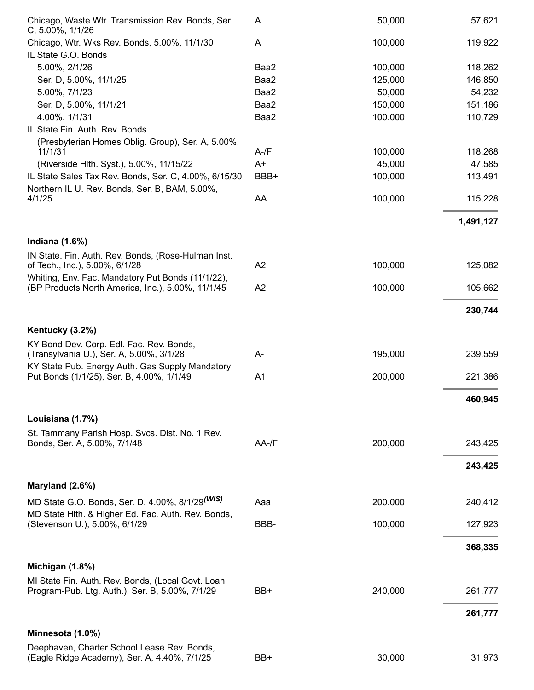| Chicago, Waste Wtr. Transmission Rev. Bonds, Ser.<br>C, 5.00%, 1/1/26                       | A              | 50,000  | 57,621    |
|---------------------------------------------------------------------------------------------|----------------|---------|-----------|
| Chicago, Wtr. Wks Rev. Bonds, 5.00%, 11/1/30                                                | A              | 100,000 | 119,922   |
| IL State G.O. Bonds                                                                         |                |         |           |
| 5.00%, 2/1/26                                                                               | Baa2           | 100,000 | 118,262   |
| Ser. D, 5.00%, 11/1/25                                                                      | Baa2           | 125,000 | 146,850   |
| 5.00%, 7/1/23                                                                               | Baa2           | 50,000  | 54,232    |
| Ser. D, 5.00%, 11/1/21                                                                      | Baa2           | 150,000 | 151,186   |
| 4.00%, 1/1/31                                                                               | Baa2           | 100,000 | 110,729   |
| IL State Fin. Auth. Rev. Bonds                                                              |                |         |           |
| (Presbyterian Homes Oblig. Group), Ser. A, 5.00%,                                           |                |         |           |
| 11/1/31                                                                                     | $A - /F$       | 100,000 | 118,268   |
| (Riverside Hlth. Syst.), 5.00%, 11/15/22                                                    | $A+$           | 45,000  | 47,585    |
| IL State Sales Tax Rev. Bonds, Ser. C, 4.00%, 6/15/30                                       | BBB+           | 100,000 | 113,491   |
| Northern IL U. Rev. Bonds, Ser. B, BAM, 5.00%,                                              |                |         |           |
| 4/1/25                                                                                      | AA             | 100,000 | 115,228   |
|                                                                                             |                |         | 1,491,127 |
| Indiana $(1.6%)$                                                                            |                |         |           |
| IN State. Fin. Auth. Rev. Bonds, (Rose-Hulman Inst.                                         |                |         |           |
| of Tech., Inc.), 5.00%, 6/1/28<br>Whiting, Env. Fac. Mandatory Put Bonds (11/1/22),         | A2             | 100,000 | 125,082   |
| (BP Products North America, Inc.), 5.00%, 11/1/45                                           | A <sub>2</sub> | 100,000 | 105,662   |
|                                                                                             |                |         | 230,744   |
| Kentucky (3.2%)                                                                             |                |         |           |
| KY Bond Dev. Corp. Edl. Fac. Rev. Bonds,                                                    |                |         |           |
| (Transylvania U.), Ser. A, 5.00%, 3/1/28                                                    | A-             | 195,000 | 239,559   |
| KY State Pub. Energy Auth. Gas Supply Mandatory                                             | A <sub>1</sub> |         |           |
| Put Bonds (1/1/25), Ser. B, 4.00%, 1/1/49                                                   |                | 200,000 | 221,386   |
|                                                                                             |                |         | 460,945   |
| Louisiana (1.7%)                                                                            |                |         |           |
| St. Tammany Parish Hosp. Svcs. Dist. No. 1 Rev.                                             |                |         |           |
| Bonds, Ser. A, 5.00%, 7/1/48                                                                | $AA$ -/F       | 200,000 | 243,425   |
|                                                                                             |                |         | 243,425   |
| Maryland (2.6%)                                                                             |                |         |           |
| MD State G.O. Bonds, Ser. D, 4.00%, 8/1/29 (WIS)                                            | Aaa            | 200,000 | 240,412   |
| MD State Hith. & Higher Ed. Fac. Auth. Rev. Bonds,<br>(Stevenson U.), 5.00%, 6/1/29         | BBB-           | 100,000 |           |
|                                                                                             |                |         | 127,923   |
|                                                                                             |                |         | 368,335   |
| Michigan (1.8%)                                                                             |                |         |           |
| MI State Fin. Auth. Rev. Bonds, (Local Govt. Loan                                           |                |         |           |
| Program-Pub. Ltg. Auth.), Ser. B, 5.00%, 7/1/29                                             | BB+            | 240,000 | 261,777   |
|                                                                                             |                |         | 261,777   |
| Minnesota (1.0%)                                                                            |                |         |           |
| Deephaven, Charter School Lease Rev. Bonds,<br>(Eagle Ridge Academy), Ser. A, 4.40%, 7/1/25 | BB+            | 30,000  | 31,973    |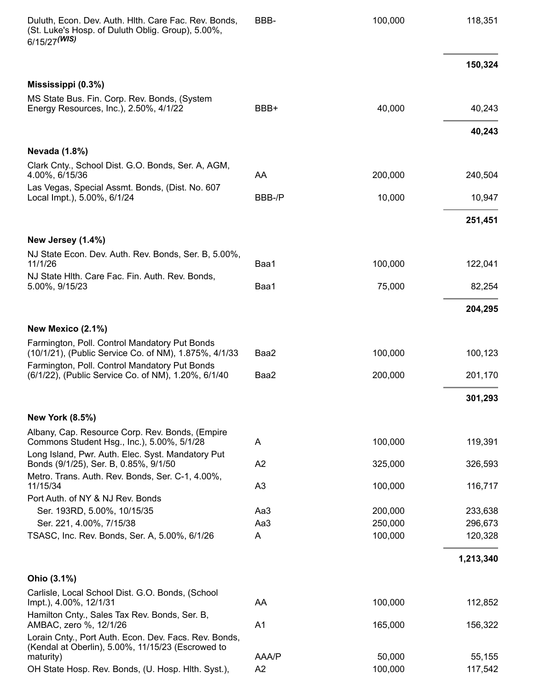| Duluth, Econ. Dev. Auth. Hith. Care Fac. Rev. Bonds,<br>(St. Luke's Hosp. of Duluth Oblig. Group), 5.00%,<br>6/15/27 (WIS) | BBB-           | 100,000 | 118,351   |
|----------------------------------------------------------------------------------------------------------------------------|----------------|---------|-----------|
|                                                                                                                            |                |         | 150,324   |
| Mississippi (0.3%)                                                                                                         |                |         |           |
| MS State Bus. Fin. Corp. Rev. Bonds, (System<br>Energy Resources, Inc.), 2.50%, 4/1/22                                     | BBB+           | 40,000  | 40,243    |
|                                                                                                                            |                |         | 40,243    |
| <b>Nevada (1.8%)</b>                                                                                                       |                |         |           |
| Clark Cnty., School Dist. G.O. Bonds, Ser. A, AGM,<br>4.00%, 6/15/36                                                       | AA             | 200,000 | 240,504   |
| Las Vegas, Special Assmt. Bonds, (Dist. No. 607<br>Local Impt.), 5.00%, 6/1/24                                             | BBB-/P         | 10,000  | 10,947    |
|                                                                                                                            |                |         | 251,451   |
| New Jersey (1.4%)                                                                                                          |                |         |           |
| NJ State Econ. Dev. Auth. Rev. Bonds, Ser. B, 5.00%,                                                                       |                |         |           |
| 11/1/26<br>NJ State Hith. Care Fac. Fin. Auth. Rev. Bonds,                                                                 | Baa1           | 100,000 | 122,041   |
| 5.00%, 9/15/23                                                                                                             | Baa1           | 75,000  | 82,254    |
|                                                                                                                            |                |         | 204,295   |
| New Mexico (2.1%)                                                                                                          |                |         |           |
| Farmington, Poll. Control Mandatory Put Bonds                                                                              |                |         |           |
| (10/1/21), (Public Service Co. of NM), 1.875%, 4/1/33                                                                      | Baa2           | 100,000 | 100,123   |
| Farmington, Poll. Control Mandatory Put Bonds<br>(6/1/22), (Public Service Co. of NM), 1.20%, 6/1/40                       | Baa2           | 200,000 | 201,170   |
|                                                                                                                            |                |         | 301,293   |
| <b>New York (8.5%)</b>                                                                                                     |                |         |           |
| Albany, Cap. Resource Corp. Rev. Bonds, (Empire<br>Commons Student Hsg., Inc.), 5.00%, 5/1/28                              | A              | 100,000 | 119,391   |
| Long Island, Pwr. Auth. Elec. Syst. Mandatory Put<br>Bonds (9/1/25), Ser. B, 0.85%, 9/1/50                                 | A2             | 325,000 | 326,593   |
| Metro. Trans. Auth. Rev. Bonds, Ser. C-1, 4.00%,                                                                           |                |         |           |
| 11/15/34                                                                                                                   | A <sub>3</sub> | 100,000 | 116,717   |
| Port Auth. of NY & NJ Rev. Bonds<br>Ser. 193RD, 5.00%, 10/15/35                                                            | Aa3            | 200,000 | 233,638   |
| Ser. 221, 4.00%, 7/15/38                                                                                                   | Aa3            | 250,000 | 296,673   |
| TSASC, Inc. Rev. Bonds, Ser. A, 5.00%, 6/1/26                                                                              | A              | 100,000 | 120,328   |
|                                                                                                                            |                |         | 1,213,340 |
| Ohio (3.1%)                                                                                                                |                |         |           |
| Carlisle, Local School Dist. G.O. Bonds, (School                                                                           |                |         |           |
| lmpt.), 4.00%, 12/1/31                                                                                                     | AA             | 100,000 | 112,852   |
| Hamilton Cnty., Sales Tax Rev. Bonds, Ser. B,<br>AMBAC, zero %, 12/1/26                                                    | A <sub>1</sub> | 165,000 | 156,322   |
| Lorain Cnty., Port Auth. Econ. Dev. Facs. Rev. Bonds,<br>(Kendal at Oberlin), 5.00%, 11/15/23 (Escrowed to                 |                |         |           |
| maturity)                                                                                                                  | AAA/P          | 50,000  | 55,155    |
| OH State Hosp. Rev. Bonds, (U. Hosp. Hith. Syst.),                                                                         | A2             | 100,000 | 117,542   |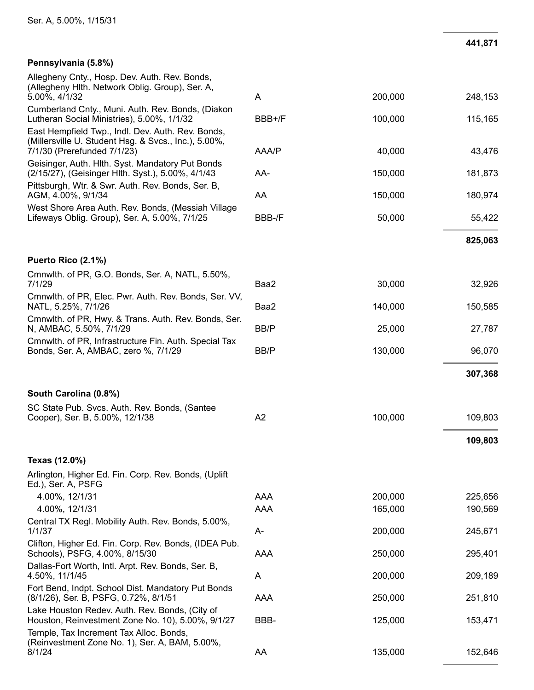#### Pennsylvania (5.8%)

| Allegheny Cnty., Hosp. Dev. Auth. Rev. Bonds,<br>(Allegheny Hith. Network Oblig. Group), Ser. A,<br>5.00%, 4/1/32                              | A      | 200,000 | 248,153 |
|------------------------------------------------------------------------------------------------------------------------------------------------|--------|---------|---------|
| Cumberland Cnty., Muni. Auth. Rev. Bonds, (Diakon<br>Lutheran Social Ministries), 5.00%, 1/1/32                                                | BBB+/F | 100,000 | 115,165 |
| East Hempfield Twp., Indl. Dev. Auth. Rev. Bonds,<br>(Millersville U. Student Hsg. & Svcs., Inc.), 5.00%,<br>7/1/30 (Prerefunded 7/1/23)       | AAA/P  | 40,000  | 43,476  |
| Geisinger, Auth. Hlth. Syst. Mandatory Put Bonds<br>(2/15/27), (Geisinger Hlth. Syst.), 5.00%, 4/1/43                                          | AA-    | 150,000 | 181,873 |
| Pittsburgh, Wtr. & Swr. Auth. Rev. Bonds, Ser. B,<br>AGM, 4.00%, 9/1/34                                                                        | AA     | 150,000 | 180,974 |
| West Shore Area Auth. Rev. Bonds, (Messiah Village<br>Lifeways Oblig. Group), Ser. A, 5.00%, 7/1/25                                            | BBB-/F | 50,000  | 55,422  |
|                                                                                                                                                |        |         | 825,063 |
| Puerto Rico (2.1%)                                                                                                                             |        |         |         |
| Cmnwlth. of PR, G.O. Bonds, Ser. A, NATL, 5.50%,<br>7/1/29                                                                                     | Baa2   | 30,000  | 32,926  |
| Cmnwlth. of PR, Elec. Pwr. Auth. Rev. Bonds, Ser. VV,<br>NATL, 5.25%, 7/1/26                                                                   | Baa2   | 140,000 | 150,585 |
| Cmnwlth. of PR, Hwy. & Trans. Auth. Rev. Bonds, Ser.<br>N, AMBAC, 5.50%, 7/1/29                                                                | BB/P   | 25,000  | 27,787  |
| Cmnwlth. of PR, Infrastructure Fin. Auth. Special Tax<br>Bonds, Ser. A, AMBAC, zero %, 7/1/29                                                  | BB/P   | 130,000 | 96,070  |
|                                                                                                                                                |        |         | 307,368 |
| South Carolina (0.8%)                                                                                                                          |        |         |         |
| SC State Pub. Svcs. Auth. Rev. Bonds, (Santee<br>Cooper), Ser. B, 5.00%, 12/1/38                                                               | A2     | 100,000 | 109,803 |
|                                                                                                                                                |        |         |         |
|                                                                                                                                                |        |         | 109,803 |
| Texas (12.0%)                                                                                                                                  |        |         |         |
| Arlington, Higher Ed. Fin. Corp. Rev. Bonds, (Uplift<br>Ed.), Ser. A, PSFG                                                                     |        |         |         |
| 4.00%, 12/1/31                                                                                                                                 | AAA    | 200,000 | 225,656 |
| 4.00%, 12/1/31                                                                                                                                 | AAA    | 165,000 | 190,569 |
| Central TX Regl. Mobility Auth. Rev. Bonds, 5.00%,<br>1/1/37                                                                                   | A-     | 200,000 | 245,671 |
| Clifton, Higher Ed. Fin. Corp. Rev. Bonds, (IDEA Pub.<br>Schools), PSFG, 4.00%, 8/15/30                                                        | AAA    | 250,000 | 295,401 |
| Dallas-Fort Worth, Intl. Arpt. Rev. Bonds, Ser. B,<br>4.50%, 11/1/45                                                                           | A      | 200,000 | 209,189 |
| Fort Bend, Indpt. School Dist. Mandatory Put Bonds<br>(8/1/26), Ser. B, PSFG, 0.72%, 8/1/51                                                    | AAA    | 250,000 | 251,810 |
| Lake Houston Redev. Auth. Rev. Bonds, (City of<br>Houston, Reinvestment Zone No. 10), 5.00%, 9/1/27<br>Temple, Tax Increment Tax Alloc. Bonds, | BBB-   | 125,000 | 153,471 |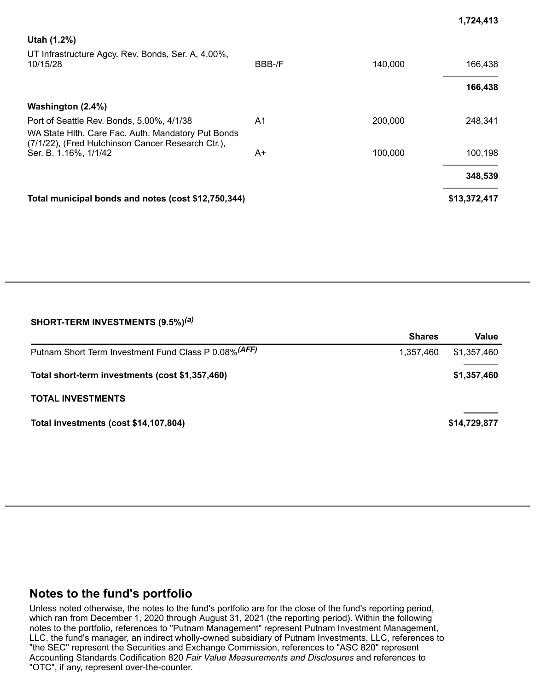| Utah (1.2%)<br>UT Infrastructure Agcy. Rev. Bonds, Ser. A, 4.00%,<br>10/15/28                                                                        | BBB-/F | 140,000 | 166,438<br>166,438 |
|------------------------------------------------------------------------------------------------------------------------------------------------------|--------|---------|--------------------|
| Washington (2.4%)                                                                                                                                    |        |         |                    |
| Port of Seattle Rev. Bonds, 5.00%, 4/1/38<br>WA State Hith. Care Fac. Auth. Mandatory Put Bonds<br>(7/1/22), (Fred Hutchinson Cancer Research Ctr.), | A1     | 200,000 | 248,341            |
| Ser. B, 1.16%, 1/1/42                                                                                                                                | A+     | 100,000 | 100,198            |
|                                                                                                                                                      |        |         | 348,539            |
| Total municipal bonds and notes (cost \$12,750,344)                                                                                                  |        |         | \$13,372,417       |

**1,724,413**

#### **SHORT-TERM INVESTMENTS (9.5%)** *(a)*

|                                                       | <b>Shares</b> | Value        |
|-------------------------------------------------------|---------------|--------------|
| Putnam Short Term Investment Fund Class P 0.08% (AFF) | 1.357.460     | \$1,357,460  |
| Total short-term investments (cost \$1,357,460)       |               | \$1,357,460  |
| <b>TOTAL INVESTMENTS</b>                              |               |              |
| Total investments (cost \$14,107,804)                 |               | \$14,729,877 |

### **Notes to the fund's portfolio**

Unless noted otherwise, the notes to the fund's portfolio are for the close of the fund's reporting period, which ran from December 1, 2020 through August 31, 2021 (the reporting period). Within the following notes to the portfolio, references to "Putnam Management" represent Putnam Investment Management, LLC, the fund's manager, an indirect wholly-owned subsidiary of Putnam Investments, LLC, references to "the SEC" represent the Securities and Exchange Commission, references to "ASC 820" represent Accounting Standards Codification 820 *Fair Value Measurements and Disclosures* and references to "OTC", if any, represent over-the-counter.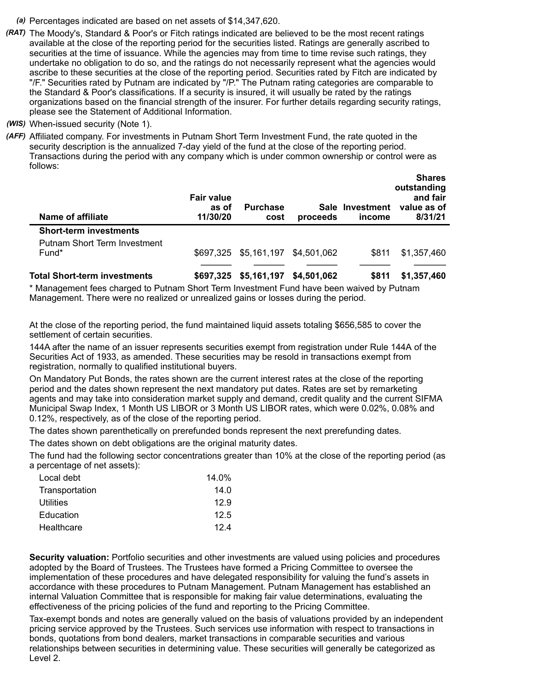- *(a)* Percentages indicated are based on net assets of \$14,347,620.
- *(RAT)* The Moody's, Standard & Poor's or Fitch ratings indicated are believed to be the most recent ratings available at the close of the reporting period for the securities listed. Ratings are generally ascribed to securities at the time of issuance. While the agencies may from time to time revise such ratings, they undertake no obligation to do so, and the ratings do not necessarily represent what the agencies would ascribe to these securities at the close of the reporting period. Securities rated by Fitch are indicated by "/F." Securities rated by Putnam are indicated by "/P." The Putnam rating categories are comparable to the Standard & Poor's classifications. If a security is insured, it will usually be rated by the ratings organizations based on the financial strength of the insurer. For further details regarding security ratings, please see the Statement of Additional Information.
- *(WIS)* When-issued security (Note 1).
- *(AFF)* Affiliated company. For investments in Putnam Short Term Investment Fund, the rate quoted in the security description is the annualized 7-day yield of the fund at the close of the reporting period. Transactions during the period with any company which is under common ownership or control were as follows: **Shares**

| Name of affiliate                   | <b>Fair value</b><br>as of<br>11/30/20 | <b>Purchase</b><br>cost | proceeds    | Sale Investment<br>income | энагез<br>outstanding<br>and fair<br>value as of<br>8/31/21 |
|-------------------------------------|----------------------------------------|-------------------------|-------------|---------------------------|-------------------------------------------------------------|
| <b>Short-term investments</b>       |                                        |                         |             |                           |                                                             |
| <b>Putnam Short Term Investment</b> |                                        |                         |             |                           |                                                             |
| Fund*                               |                                        | \$697,325 \$5,161,197   | \$4,501,062 | \$811                     | \$1,357,460                                                 |
| <b>Total Short-term investments</b> | \$697.325                              | \$5,161,197             | \$4,501,062 | \$811                     | \$1,357,460                                                 |

\* Management fees charged to Putnam Short Term Investment Fund have been waived by Putnam Management. There were no realized or unrealized gains or losses during the period.

At the close of the reporting period, the fund maintained liquid assets totaling \$656,585 to cover the settlement of certain securities.

144A after the name of an issuer represents securities exempt from registration under Rule 144A of the Securities Act of 1933, as amended. These securities may be resold in transactions exempt from registration, normally to qualified institutional buyers.

On Mandatory Put Bonds, the rates shown are the current interest rates at the close of the reporting period and the dates shown represent the next mandatory put dates. Rates are set by remarketing agents and may take into consideration market supply and demand, credit quality and the current SIFMA Municipal Swap Index, 1 Month US LIBOR or 3 Month US LIBOR rates, which were 0.02%, 0.08% and 0.12%, respectively, as of the close of the reporting period.

The dates shown parenthetically on prerefunded bonds represent the next prerefunding dates.

The dates shown on debt obligations are the original maturity dates.

The fund had the following sector concentrations greater than 10% at the close of the reporting period (as a percentage of net assets):

| Local debt     | 14.0% |
|----------------|-------|
| Transportation | 14.0  |
| Utilities      | 12.9  |
| Education      | 12.5  |
| Healthcare     | 124   |

**Security valuation:** Portfolio securities and other investments are valued using policies and procedures adopted by the Board of Trustees. The Trustees have formed a Pricing Committee to oversee the implementation of these procedures and have delegated responsibility for valuing the fund's assets in accordance with these procedures to Putnam Management. Putnam Management has established an internal Valuation Committee that is responsible for making fair value determinations, evaluating the effectiveness of the pricing policies of the fund and reporting to the Pricing Committee.

Tax-exempt bonds and notes are generally valued on the basis of valuations provided by an independent pricing service approved by the Trustees. Such services use information with respect to transactions in bonds, quotations from bond dealers, market transactions in comparable securities and various relationships between securities in determining value. These securities will generally be categorized as Level 2.